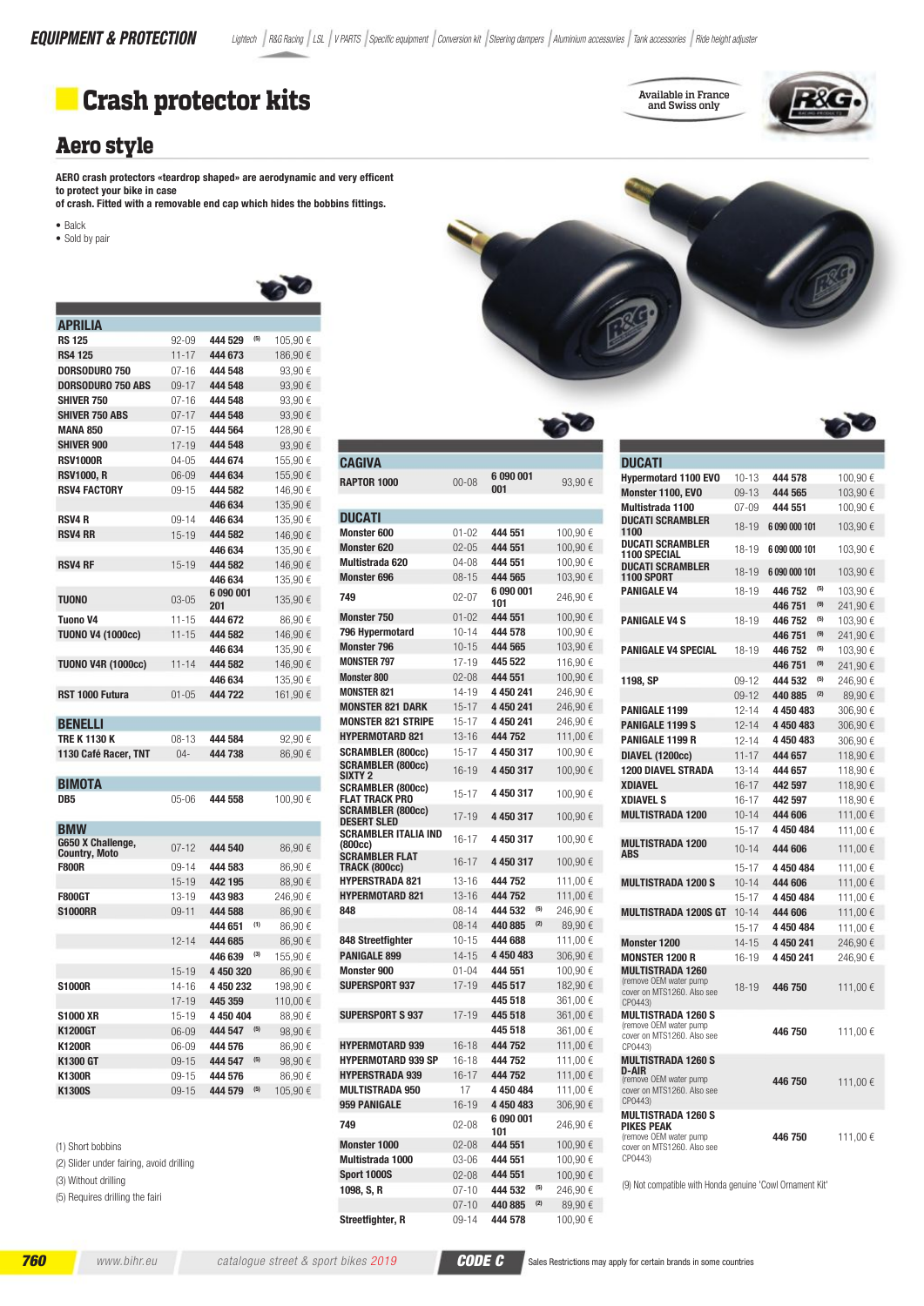

#### **Aero style**

AERO crash protectors «teardrop shaped» are aerodynamic and very efficent to protect your bike in case

- of crash. Fitted with a removable end cap which hides the bobbins fittings.
- $\bullet$  Balck
- · Sold by pair

| <b>APRILIA</b>                |           |                  |                  |
|-------------------------------|-----------|------------------|------------------|
| <b>RS 125</b>                 | $92 - 09$ | (5)<br>444 529   | 105,90€          |
| <b>RS4 125</b>                | $11 - 17$ | 444 673          | 186,90€          |
| <b>DORSODURO 750</b>          | $07 - 16$ | 444 548          | 93,90€           |
| <b>DORSODURO 750 ABS</b>      | $09 - 17$ | 444 548          | 93,90 $\epsilon$ |
| <b>SHIVER 750</b>             | $07 - 16$ | 444 548          | 93,90€           |
| <b>SHIVER 750 ABS</b>         | $07 - 17$ | 444 548          | 93,90€           |
| <b>MANA 850</b>               | $07 - 15$ | 444 564          | 128,90€          |
| <b>SHIVER 900</b>             | 17-19     | 444 548          | 93,90€           |
| <b>RSV1000R</b>               | 04-05     | 444 674          | 155,90€          |
| <b>RSV1000, R</b>             | $06 - 09$ | 444 634          | 155,90€          |
| <b>RSV4 FACTORY</b>           | $09 - 15$ | 444 582          | 146,90€          |
|                               |           | 446 634          | 135,90€          |
| <b>RSV4 R</b>                 | $09 - 14$ | 446 634          | 135,90€          |
| <b>RSV4 RR</b>                | $15 - 19$ | 444 582          | 146,90 €         |
|                               |           | 446 634          | 135,90€          |
| <b>RSV4 RF</b>                | $15 - 19$ | 444 582          | 146,90€          |
|                               |           | 446 634          | 135,90€          |
| TUONO                         | $03 - 05$ | 6 090 001<br>201 | 135,90€          |
| <b>Tuono V4</b>               | $11 - 15$ | 444 672          | 86,90€           |
| <b>TUONO V4 (1000cc)</b>      | $11 - 15$ | 444 582          | 146,90€          |
|                               |           | 446 634          | 135,90€          |
| <b>TUONO V4R (1000cc)</b>     | $11 - 14$ | 444 582          | 146,90€          |
|                               |           | 446 634          | 135,90€          |
| RST 1000 Futura               | $01 - 05$ | 444 722          | 161,90€          |
| <b>BENELLI</b>                |           |                  |                  |
| TRE K 1130 K                  | $08 - 13$ | 444 584          | 92,90€           |
| 1130 Café Racer, TNT          | $04 -$    | 444 738          | 86,90€           |
|                               |           |                  |                  |
| BIMOTA                        |           |                  |                  |
| DB <sub>5</sub>               | 05-06     | 444 558          | 100,90 €         |
| BMW                           |           |                  |                  |
| G650 X Challenge,             | $07 - 12$ | 444 540          | 86,90€           |
| Country, Moto<br><b>F800R</b> | $09 - 14$ | 444 583          | 86,90€           |
|                               | $15 - 19$ | 442 195          | 88,90€           |
| <b>F800GT</b>                 | 13-19     | 443 983          | 246,90€          |
| <b>S1000RR</b>                | $09 - 11$ | 444 588          | 86,90€           |
|                               |           | 444 651<br>(1)   | 86,90€           |
|                               | 12-14     | 444 685          | 86,90€           |
|                               |           | 446 639<br>(3)   | 155,90€          |
|                               | $15 - 19$ | 4 450 320        | 86,90€           |
| S1000R                        | 14-16     | 4 450 232        | 198,90 €         |
|                               | $17 - 19$ | 445 359          | 110,00€          |
| <b>S1000 XR</b>               | $15 - 19$ | 4 450 404        | 88,90€           |
| K1200GT                       | 06-09     | (5)<br>444 547   | 98,90€           |
| <b>K1200R</b>                 | $06 - 09$ | 444 576          | 86,90€           |
| K1300 GT                      | $09 - 15$ | 444 547<br>(5)   | 98,90€           |
| <b>K1300R</b>                 | $09 - 15$ | 444 576          | 86,90€           |
| K1300S                        | $09 - 15$ | $(5)$<br>444 579 | 105,90€          |
|                               |           |                  |                  |

(1) Short bobbins

(2) Slider under fairing, avoid drilling (3) Without drilling

www.bihr.eu

(5) Requires drilling the fairi



Available in France<br>and Swiss only

## 6 090 001 93,90 $\xi$

| <b>RAPTOR 1000</b>                             | $00 - 08$ | 6090001<br>001   | 93,90€   |
|------------------------------------------------|-----------|------------------|----------|
|                                                |           |                  |          |
| <b>DUCATI</b>                                  |           |                  |          |
| <b>Monster 600</b>                             | $01 - 02$ | 444 551          | 100,90€  |
| <b>Monster 620</b>                             | $02 - 05$ | 444 551          | 100,90€  |
| Multistrada 620                                | $04 - 08$ | 444 551          | 100,90€  |
| <b>Monster 696</b>                             | $08 - 15$ | 444 565          | 103,90€  |
| 749                                            |           | 6 090 001        |          |
|                                                | $02 - 07$ | 101              | 246,90€  |
| <b>Monster 750</b>                             | $01 - 02$ | 444 551          | 100,90 € |
| 796 Hypermotard                                | $10 - 14$ | 444 578          | 100,90€  |
| <b>Monster 796</b>                             | $10 - 15$ | 444 565          | 103,90 € |
| <b>MONSTER 797</b>                             | $17 - 19$ | 445 522          | 116,90 € |
| <b>Monster 800</b>                             | $02 - 08$ | 444 551          | 100,90€  |
| <b>MONSTER 821</b>                             | 14-19     | 4 450 241        | 246,90€  |
| <b>MONSTER 821 DARK</b>                        | $15 - 17$ | 4 450 241        | 246,90€  |
| <b>MONSTER 821 STRIPE</b>                      | $15 - 17$ | 4 450 241        | 246,90€  |
| <b>HYPERMOTARD 821</b>                         | $13 - 16$ | 444 752          | 111,00 € |
| <b>SCRAMBLER (800cc)</b>                       | $15 - 17$ | 4450317          | 100,90€  |
| <b>SCRAMBLER (800cc)</b><br>SIXTY 2            | 16-19     | 4 450 317        | 100,90 € |
| <b>SCRAMBLER (800cc)</b>                       | $15 - 17$ | 4450317          | 100,90 € |
| FLAT TRACK PRO                                 |           |                  |          |
| <b>SCRAMBLER (800cc)</b><br><b>DESERT SLED</b> | $17 - 19$ | 4 450 317        | 100,90€  |
| <b>SCRAMBLER ITALIA IND</b>                    | $16 - 17$ | 4 450 317        | 100,90 € |
| (800cc)<br><b>SCRAMBLER FLAT</b>               |           |                  |          |
| TRACK (800cc)                                  | $16 - 17$ | 4 450 317        | 100,90€  |
| <b>HYPERSTRADA 821</b>                         | $13 - 16$ | 444 752          | 111,00 € |
| <b>HYPERMOTARD 821</b>                         | $13 - 16$ | 444 752          | 111,00 € |
| 848                                            | $08 - 14$ | 444 532<br>(5)   | 246,90€  |
|                                                | $08 - 14$ | 440 885<br>(2)   | 89,90€   |
| 848 Streetfighter                              | $10 - 15$ | 444 688          | 111,00 € |
| <b>PANIGALE 899</b>                            | 14-15     | 4 450 483        | 306,90€  |
| <b>Monster 900</b>                             | $01 - 04$ | 444 551          | 100,90€  |
| <b>SUPERSPORT 937</b>                          | 17-19     | 445 517          | 182,90 € |
|                                                |           | 445 518          | 361,00 € |
| <b>SUPERSPORT S 937</b>                        | $17 - 19$ | 445 518          | 361,00€  |
|                                                |           | 445 518          | 361,00 € |
| <b>HYPERMOTARD 939</b>                         | $16 - 18$ | 444 752          | 111,00 € |
| <b>HYPERMOTARD 939 SP</b>                      | $16 - 18$ | 444 752          | 111,00 € |
| <b>HYPERSTRADA 939</b>                         | $16 - 17$ | 444 752          | 111,00 € |
| <b>MULTISTRADA 950</b>                         | 17        | 4 450 484        | 111,00 € |
| 959 PANIGALE                                   | $16 - 19$ | 4 450 483        | 306,90€  |
| 749                                            | $02 - 08$ | 6 090 001<br>101 | 246,90€  |
| Monster 1000                                   | $02 - 08$ | 444 551          | 100,90€  |
| Multistrada 1000                               | $03 - 06$ | 444 551          | 100,90€  |
| <b>Sport 1000S</b>                             | $02 - 08$ | 444 551          | 100,90€  |
| 1098, S, R                                     | $07 - 10$ | 444 532<br>(5)   | 246,90€  |
|                                                | $07 - 10$ | (2)<br>440 885   | 89,90€   |
| Streetfighter, R                               | $09 - 14$ | 444 578          | 100,90€  |
|                                                |           |                  |          |

**CAGIVA** 

| <b>DUCATI</b>                                                                                               |           |                |          |
|-------------------------------------------------------------------------------------------------------------|-----------|----------------|----------|
| <b>Hypermotard 1100 EVO</b>                                                                                 | $10 - 13$ | 444 578        | 100,90€  |
| Monster 1100, EVO                                                                                           | $09 - 13$ | 444 565        | 103,90€  |
| Multistrada 1100                                                                                            | $07 - 09$ | 444 551        | 100,90€  |
| <b>DUCATI SCRAMBLER</b><br>1100                                                                             | $18 - 19$ | 6 090 000 101  | 103,90€  |
| <b>DUCATI SCRAMBLER</b><br><b>1100 SPECIAL</b>                                                              | 18-19     | 6 090 000 101  | 103,90€  |
| <b>DUCATI SCRAMBLER</b><br><b>1100 SPORT</b>                                                                | $18 - 19$ | 6 090 000 101  | 103.90€  |
| <b>PANIGALE V4</b>                                                                                          | 18-19     | 446 752<br>(5) | 103,90€  |
|                                                                                                             |           | (9)<br>446751  | 241,90€  |
| <b>PANIGALE V4 S</b>                                                                                        | 18-19     | 446 752<br>(5) | 103,90€  |
|                                                                                                             |           | (9)<br>446 751 | 241,90€  |
| <b>PANIGALE V4 SPECIAL</b>                                                                                  | 18-19     | (5)<br>446752  | 103,90€  |
|                                                                                                             |           | (9)<br>446751  | 241,90€  |
| 1198, SP                                                                                                    | $09-12$   | (5)<br>444 532 | 246,90€  |
|                                                                                                             | $09 - 12$ | (2)<br>440 885 | 89,90€   |
| PANIGALE 1199                                                                                               | $12 - 14$ | 4 450 483      | 306,90€  |
| <b>PANIGALE 1199 S</b>                                                                                      | $12 - 14$ | 4 450 483      | 306,90€  |
| <b>PANIGALE 1199 R</b>                                                                                      | $12 - 14$ | 4 450 483      | 306,90€  |
| <b>DIAVEL (1200cc)</b>                                                                                      | $11 - 17$ | 444 657        | 118,90 € |
| <b>1200 DIAVEL STRADA</b>                                                                                   | $13 - 14$ | 444 657        | 118,90€  |
| <b>XDIAVEL</b>                                                                                              | $16 - 17$ | 442 597        | 118,90€  |
| <b>XDIAVEL S</b>                                                                                            | $16 - 17$ | 442 597        | 118,90€  |
| <b>MULTISTRADA 1200</b>                                                                                     | $10 - 14$ | 444 606        | 111,00 € |
|                                                                                                             | $15 - 17$ | 4 450 484      | 111,00 € |
| <b>MULTISTRADA 1200</b><br>ABS                                                                              | $10 - 14$ | 444 606        | 111,00 € |
|                                                                                                             | $15 - 17$ | 4 450 484      | 111,00 € |
| <b>MULTISTRADA 1200 S</b>                                                                                   | $10 - 14$ | 444 606        | 111,00 € |
|                                                                                                             | $15 - 17$ | 4 450 484      | 111,00 € |
| <b>MULTISTRADA 1200S GT</b>                                                                                 | $10 - 14$ | 444 606        | 111,00 € |
|                                                                                                             | $15 - 17$ | 4 450 484      | 111,00 € |
| Monster 1200                                                                                                | $14 - 15$ | 4 450 241      | 246,90€  |
| <b>MONSTER 1200 R</b>                                                                                       | 16-19     | 4 450 241      | 246,90€  |
| <b>MULTISTRADA 1260</b><br>(remove OEM water pump<br>cover on MTS1260. Also see<br>CP0443)                  | 18-19     | 446750         | 111,00 € |
| <b>MULTISTRADA 1260 S</b><br>(remove OEM water pump<br>cover on MTS1260. Also see<br>CP0443)                |           | 446750         | 111,00 € |
| <b>MULTISTRADA 1260 S</b><br>D-AIR<br>(remove OEM water pump<br>cover on MTS1260. Also see<br>CP0443)       |           | 446750         | 111,00 € |
| <b>MULTISTRADA 1260 S</b><br>PIKES PEAK<br>(remove OEM water pump)<br>cover on MTS1260. Also see<br>CP0443) |           | 446 750        | 111,00 € |

(9) Not compatible with Honda genuine 'Cowl Ornament Kit'

760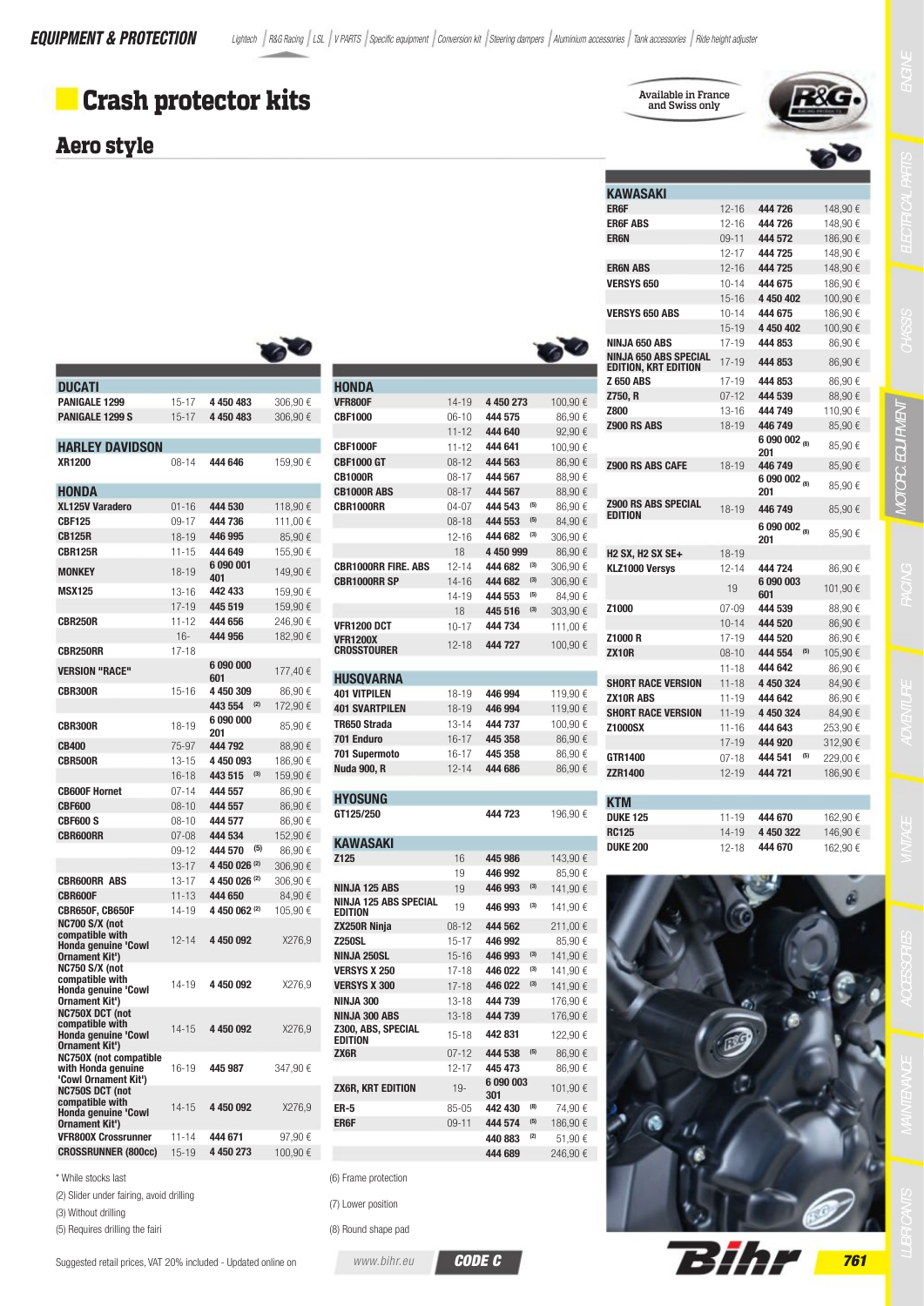## **Crash protector kits**

4 450 483

4 450 483

444 646

444 530

444 736

 $15 - 17$ 

 $15 - 17$ 

 $08 - 14$ 

 $01 - 16$ 

 $09 - 17$ 

306,90€

306,90€

159,90€

118,90 $\in$ 

111,00 €

#### **Aero style**

**DUCATI** 

XR1200

**HONDA** 

**CBF125** 

PANIGALE 1299

**PANIGALE 1299 S** 

XI 125V Varadero

**HARLEY DAVIDSON** 

Available in France and Swiss only

 $12 - 16$ 

 $12 - 16$ 

 $09 - 11$ 

 $12 - 17$ 

 $12-16$ 

 $10 - 14$ 

 $15 - 16$ 

 $10 - 14$ 

 $15 - 19$ 

 $17 - 19$ 

 $17 - 19$ 

 $17-19$ 

 $07 - 12$ 

 $13 - 16$ 

 $18 - 19$ 

 $18 - 19$ 

 $18 - 19$ 

 $18 - 19$ 

 $12 - 14$ 

19

 $07 - 09$ 

 $10 - 14$ 

 $17-19$ 

 $08 - 10$ 

 $11 - 18$ 

 $11 - 18$ 

 $11 - 19$ 

 $11 - 19$ 

 $11 - 16$ 

 $17 - 19$ 

 $07 - 18$ 

 $12 - 19$ 

 $11 - 19$ 

 $14-19$ 

 $12 - 18$ 

444

444

 $AA$ 

444

 $\Delta\Delta\Delta$ 

444

445

444

445

444

444

**AAA** 

444

444

446 609

201

446 6.09

201

446

609

201

 $\Delta\Delta\Delta$ 

**609** 

601

 $\Delta\Delta\Delta$ 

444

 $\Delta\Delta\Delta$ 

444

444

445

444

 $445$ 

444

 $\Delta\Delta\Delta$ 

444

444

 $\Delta\Delta\Delta$ 

445

 $\Delta\Delta\Delta$ 

**KAWASAKI** ER6F

**ERGF ABS** 

**FRAN ARS** 

**VERSYS 650** 

**VERSYS 650 ABS** 

**FR6N** 



| 726                  |     | 148,90€  |  |
|----------------------|-----|----------|--|
| 726                  |     | 148,90€  |  |
| 572                  |     | 186,90€  |  |
| 725                  |     | 148,90€  |  |
| 725                  |     | 148,90€  |  |
| 675                  |     | 186,90€  |  |
| 0402                 |     | 100,90€  |  |
| 675                  |     | 186,90€  |  |
| 0 402                |     | 100,90€  |  |
| 853                  |     | 86,90€   |  |
| 853                  |     | 86,90€   |  |
| 853                  |     | 86,90€   |  |
| 539                  |     | 88,90€   |  |
| 749                  |     | 110,90€  |  |
| 749                  |     | 85,90€   |  |
| 0 002 <sub>(8)</sub> |     | 85,90€   |  |
| 749                  |     | 85,90€   |  |
| $0002_{(8)}$         |     | 85.90€   |  |
|                      |     |          |  |
| 749                  |     | 85,90€   |  |
|                      |     |          |  |
| $0002_{(8)}$         |     |          |  |
|                      |     | 85,90€   |  |
|                      |     |          |  |
| 724                  |     | 86,90€   |  |
| 0 003                |     | 101,90 € |  |
| 539                  |     | 88,90€   |  |
| 520                  |     | 86,90€   |  |
| 520                  |     | 86,90€   |  |
| 554                  | (5) | 105,90€  |  |
| 642                  |     | 86,90€   |  |
| 0 324                |     | 84,90€   |  |
| 642                  |     | 86,90€   |  |
| 0 324                |     | 84,90€   |  |
| 643                  |     | 253,90€  |  |
| 920                  |     | 312,90€  |  |
| 541                  | (5) | 229,00€  |  |
| 721                  |     | 186.90€  |  |
|                      |     |          |  |
|                      |     |          |  |
| 670                  |     | 162,90€  |  |
| 0 322                |     | 146,90€  |  |
| 670                  |     | 162,90€  |  |
|                      |     |          |  |
|                      |     |          |  |
|                      |     |          |  |
|                      |     |          |  |



| (2) Slider under fairing avoid dri |  |  |
|------------------------------------|--|--|

(3) Without drilling

(5) Requires drilling the fairi

Suggested retail prices, VAT 20% included - Updated online on

|                                       |                        |                    |       |                    | NINJA 650 ABS                                               |
|---------------------------------------|------------------------|--------------------|-------|--------------------|-------------------------------------------------------------|
|                                       |                        |                    |       |                    | <b>NINJA 650 ABS SPECIAL</b><br><b>EDITION, KRT EDITION</b> |
| HONDA                                 |                        |                    |       |                    | <b>Z 650 ABS</b>                                            |
| VFR800F                               | 14-19                  | 4 450 273          |       | 100,90€            | Z750, R                                                     |
| <b>CBF1000</b>                        | $06-10$                | 444 575            |       | 86,90€             | <b>Z800</b>                                                 |
|                                       | $11 - 12$              | 444 640            |       | 92,90€             | <b>Z900 RS ABS</b>                                          |
| CBF1000F                              | 11-12                  | 444 641            |       | 100,90€            |                                                             |
| CBF1000 GT                            | 08-12                  | 444 563            |       | 86,90€             |                                                             |
| <b>CB1000R</b>                        | 08-17                  | 444 567            |       | 88,90€             | Z900 RS ABS CAFE                                            |
| <b>CB1000R ABS</b>                    | $08 - 17$              | 444 567            |       | 88,90 €            |                                                             |
| CBR1000RR                             | 04-07                  | 444 543            | (5)   | 86,90€             | <b>Z900 RS ABS SPECIAL</b>                                  |
|                                       | 08-18                  | 444 553            | (5)   | 84,90 €            | <b>EDITION</b>                                              |
|                                       | $12 - 16$              | 444 682            | (3)   | 306,90€            |                                                             |
|                                       | 18                     | 4 450 999          |       | 86,90 €            | <b>H2 SX, H2 SX SE+</b>                                     |
| CBR1000RR FIRE. ABS                   | $12 - 14$              | 444 682            | $(3)$ | 306,90 €           | KLZ1000 Versys                                              |
| CBR1000RR SP                          | $14 - 16$              | 444 682            | (3)   | 306,90 €           |                                                             |
|                                       | 14-19                  | 444 553            | (5)   | 84,90 €            |                                                             |
|                                       | 18                     | 445 516            | (3)   | 303,90€            | Z1000                                                       |
| <b>VFR1200 DCT</b>                    | $10 - 17$              | 444 734            |       | 111,00 €           |                                                             |
| <b>VFR1200X</b>                       | $12 - 18$              | 444 727            |       | 100,90 €           | Z1000 R                                                     |
| CROSSTOURER                           |                        |                    |       |                    | <b>ZX10R</b>                                                |
|                                       |                        |                    |       |                    |                                                             |
| HUSQVARNA                             |                        |                    |       |                    | <b>SHORT RACE VERSION</b>                                   |
| <b>401 VITPILEN</b>                   | 18-19                  | 446 994            |       | 119,90€            | <b>ZX10R ABS</b>                                            |
| <b>401 SVARTPILEN</b><br>TR650 Strada | $18 - 19$<br>$13 - 14$ | 446 994<br>444 737 |       | 119,90 €           | <b>SHORT RACE VERSION</b>                                   |
| 701 Enduro                            | $16 - 17$              | 445 358            |       | 100,90 €<br>86,90€ | <b>Z1000SX</b>                                              |
| 701 Supermoto                         | 16-17                  | 445 358            |       | 86,90€             |                                                             |
| Nuda 900. R                           | $12 - 14$              | 444 686            |       | 86,90€             | GTR1400                                                     |
|                                       |                        |                    |       |                    | <b>ZZR1400</b>                                              |
| HYOSUNG                               |                        |                    |       |                    | <b>KTM</b>                                                  |
| GT125/250                             |                        | 444 723            |       | 196,90€            | <b>DUKE 125</b>                                             |
|                                       |                        |                    |       |                    | <b>RC125</b>                                                |
| KAWASAKI                              |                        |                    |       |                    | <b>DUKE 200</b>                                             |
| Z125                                  | 16                     | 445 986            |       | 143,90€            |                                                             |
|                                       | 19                     | 446 992            |       | 85,90€             |                                                             |
| NINJA 125 ABS                         | 19                     | 446 993            | (3)   | 141,90 €           |                                                             |
| NINJA 125 ABS SPECIAL<br>EDITION      | 19                     | 446 993            | (3)   | 141,90 €           |                                                             |
| ZX250R Ninja                          | 08-12                  | 444 562            |       | 211,00 €           |                                                             |
| <b>Z250SL</b>                         | 15-17                  | 446 992            |       | 85,90€             |                                                             |
| NINJA 250SL                           | $15 - 16$              | 446 993            | (3)   | 141,90 €           |                                                             |
| VERSYS X 250                          | 17-18                  | 446 022            | (3)   | 141,90 €           |                                                             |
| <b>VERSYS X 300</b>                   | $17 - 18$              | 446 022            | (3)   | 141,90 €           |                                                             |
| NINJA 300                             | $13 - 18$              | 444 739            |       | 176,90 €           |                                                             |
| NIN.IA 300 ARS                        | $13 - 18$              | 444 739            |       | 176,90€            |                                                             |
| Z300, ABS, SPECIAL<br>EDITION         | $15-18$                | 442 831            |       | 122,90 €           |                                                             |
| ZX6R                                  | $07 - 12$              | 444 538            | (5)   | 86,90€             |                                                             |
|                                       | $12 - 17$              | 445 473            |       | 86,90€             |                                                             |
|                                       |                        | 6 090 003          |       |                    |                                                             |
| ZX6R, KRT EDITION                     | $19 -$                 | 301                |       | 101,90€            |                                                             |
| ER-5                                  | 85-05                  | 442 430            | (8)   | 74,90€             |                                                             |
| ER6F                                  | $09 - 11$              | 444 574            | (5)   | 186,90€            |                                                             |
|                                       |                        | 440 883            | (2)   | 51,90€             |                                                             |
|                                       |                        | 444 689            |       | 246,90€            |                                                             |
| ) Frame protection                    |                        |                    |       |                    |                                                             |
|                                       |                        |                    |       |                    |                                                             |

|    | $85 - 05$ | 442 |
|----|-----------|-----|
|    | $09 - 11$ | 444 |
|    |           | 440 |
|    |           | 444 |
| on |           |     |

**CODE C** 

| - - |  |  | $\sim$ |  |
|-----|--|--|--------|--|

(7) Lower position

(8) Round shape pad

www.bihr.eu



| 7<br>1 |
|--------|

Y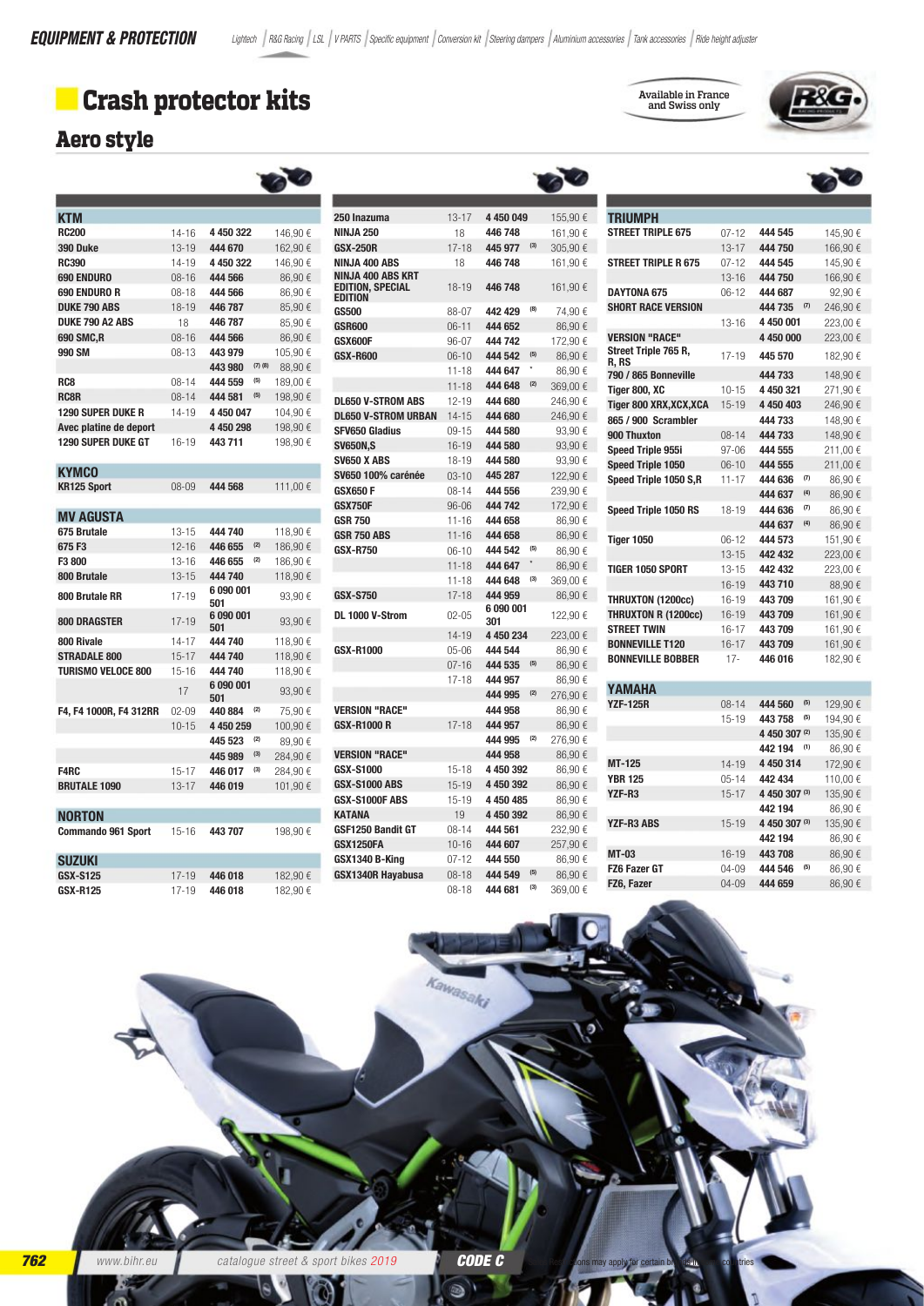# Crash protector kits

 $\overline{a}$ 

### **Aero style**

| <b>KTM</b>                |           |                      |             |                   |
|---------------------------|-----------|----------------------|-------------|-------------------|
| <b>RC200</b>              | $14 - 16$ | 4 450 322            |             | 146,90€           |
| 390 Duke                  | $13 - 19$ | 444 670              |             | 162,90€           |
| <b>RC390</b>              | $14 - 19$ | 4 450 322            |             | 146,90€           |
| 690 ENDURO                | $08 - 16$ | 444 566              |             | 86,90€            |
| 690 ENDURO R              | $08 - 18$ | 444 566              |             | 86,90€            |
| <b>DUKE 790 ABS</b>       | $18 - 19$ | 446 787              |             | 85.90€            |
| DUKE 790 A2 ABS           | 18        | 446 787              |             | 85,90€            |
| <b>690 SMC,R</b>          | $08 - 16$ | 444 566              |             | 86,90€            |
| 990 SM                    | $08 - 13$ | 443 979              | $(7)$ $(8)$ | 105,90€           |
|                           |           | 443 980              | (5)         | 88,90€            |
| RC <sub>8</sub>           | $08 - 14$ | 444 559              |             | 189,00€           |
| <b>RC8R</b>               | $08 - 14$ | 444 581              | (5)         | 198,90€           |
| <b>1290 SUPER DUKE R</b>  | $14 - 19$ | 4 450 047            |             | 104,90€           |
| Avec platine de deport    |           | 4 450 298            |             | 198,90€           |
| 1290 SUPER DUKE GT        | $16 - 19$ | 443 711              |             | 198,90€           |
|                           |           |                      |             |                   |
| <b>KYMCO</b>              |           |                      |             |                   |
| <b>KR125 Sport</b>        | $08 - 09$ | 444 568              |             | 111,00 €          |
|                           |           |                      |             |                   |
| <b>MV AGUSTA</b>          |           |                      |             |                   |
| 675 Brutale               | $13 - 15$ | 444 740              |             | 118,90€           |
| 675 F3                    | $12 - 16$ | 446 655              | (2)<br>(2)  | 186,90€           |
| F3 800                    | $13 - 16$ | 446 655              |             | 186,90€           |
| 800 Brutale               | $13 - 15$ | 444 740<br>6 090 001 |             | 118,90€           |
| 800 Brutale RR            | $17 - 19$ | 501                  |             | 93,90€            |
|                           |           | 6 090 001            |             |                   |
| <b>800 DRAGSTER</b>       | $17 - 19$ | 501                  |             | 93,90€            |
| 800 Rivale                | $14 - 17$ | 444 740              |             | 118.90€           |
| <b>STRADALE 800</b>       | $15 - 17$ | 444 740              |             | 118,90€           |
| <b>TURISMO VELOCE 800</b> | $15 - 16$ | 444 740              |             | 118,90€           |
|                           | 17        | 6 090 001            |             | 93,90€            |
| F4, F4 1000R, F4 312RR    | $02 - 09$ | 501<br>440 884       | (2)         |                   |
|                           | $10 - 15$ | 4 450 259            |             | 75,90€<br>100,90€ |
|                           |           | 445 523              | (2)         | 89,90€            |
|                           |           | 445 989              | (3)         | 284,90€           |
| F4RC                      | $15 - 17$ | 446 017              | (3)         | 284,90€           |
| <b>BRUTALE 1090</b>       | $13 - 17$ | 446 019              |             | 101,90€           |
|                           |           |                      |             |                   |
| <b>NORTON</b>             |           |                      |             |                   |
| <b>Commando 961 Sport</b> | $15 - 16$ | 443 707              |             |                   |
|                           |           |                      |             | 198,90€           |
| <b>SUZUKI</b>             |           |                      |             |                   |
| <b>GSX-S125</b>           | $17 - 19$ | 446 018              |             |                   |
| <b>GSX-R125</b>           | $17 - 19$ | 446 018              |             | 182,90€           |
|                           |           |                      |             | 182,90€           |

| 250 Inazuma                                                           | $13 - 17$ | 4 450 049        |     | 155,90€  |
|-----------------------------------------------------------------------|-----------|------------------|-----|----------|
| <b>NINJA 250</b>                                                      | 18        | 446748           |     | 161,90 € |
| <b>GSX-250R</b>                                                       | $17 - 18$ | 445 977          | (3) | 305,90€  |
| <b>NINJA 400 ABS</b>                                                  | 18        | 446748           |     | 161,90 € |
| <b>NINJA 400 ABS KRT</b><br><b>EDITION, SPECIAL</b><br><b>EDITION</b> | $18 - 19$ | 446748           |     | 161,90 € |
| <b>GS500</b>                                                          | 88-07     | 442 429          | (8) | 74,90€   |
| <b>GSR600</b>                                                         | $06 - 11$ | 444 652          |     | 86,90€   |
| GSX600F                                                               | 96-07     | 444 742          |     | 172,90 € |
| <b>GSX-R600</b>                                                       | $06 - 10$ | 444 542          | (5) | 86,90€   |
|                                                                       | $11 - 18$ | 444 647          | ż   | 86,90€   |
|                                                                       | $11 - 18$ | 444 648          | (2) | 369,00€  |
| <b>DL650 V-STROM ABS</b>                                              | $12 - 19$ | 444 680          |     | 246,90€  |
| <b>DL650 V-STROM URBAN</b>                                            | $14 - 15$ | 444 680          |     | 246,90€  |
| <b>SFV650 Gladius</b>                                                 | $09 - 15$ | 444 580          |     | 93,90€   |
| <b>SV650N,S</b>                                                       | 16-19     | 444 580          |     | 93,90€   |
| <b>SV650 X ABS</b>                                                    | $18 - 19$ | 444 580          |     | 93,90€   |
| <b>SV650 100% carénée</b>                                             | $03 - 10$ | 445 287          |     | 122,90€  |
| <b>GSX650 F</b>                                                       | $08 - 14$ | 444 556          |     | 239,90€  |
| <b>GSX750F</b>                                                        | $96 - 06$ | 444 742          |     | 172,90 € |
| <b>GSR 750</b>                                                        | $11 - 16$ | 444 658          |     | 86,90€   |
| <b>GSR 750 ABS</b>                                                    | $11 - 16$ | 444 658          |     | 86,90€   |
| <b>GSX-R750</b>                                                       | $06 - 10$ | 444 542          | (5) | 86,90€   |
|                                                                       | $11 - 18$ | 444 647          | *   | 86,90€   |
|                                                                       | $11 - 18$ | 444 648          | (3) | 369,00 € |
| <b>GSX-S750</b>                                                       | $17 - 18$ | 444 959          |     | 86,90€   |
| DL 1000 V-Strom                                                       | $02 - 05$ | 6 090 001<br>301 |     | 122,90 € |
|                                                                       | $14 - 19$ | 4 450 234        |     | 223,00 € |
| <b>GSX-R1000</b>                                                      | $05 - 06$ | 444 544          |     | 86,90€   |
|                                                                       | $07 - 16$ | 444 535          | (5) | 86,90€   |
|                                                                       | $17 - 18$ | 444 957          |     | 86,90€   |
|                                                                       |           | 444 995          | (2) | 276,90€  |
| <b>VERSION "RACE"</b>                                                 |           | 444 958          |     | 86,90€   |
| <b>GSX-R1000 R</b>                                                    | $17 - 18$ | 444 957          |     | 86,90 €  |
|                                                                       |           | 444 995          | (2) | 276,90€  |
| <b>VERSION "RACE"</b>                                                 |           | 444 958          |     | 86,90€   |
| <b>GSX-S1000</b>                                                      | $15 - 18$ | 4 450 392        |     | 86,90€   |
| <b>GSX-S1000 ABS</b>                                                  | $15 - 19$ | 4 450 392        |     | 86,90€   |
| GSX-S1000F ABS                                                        | $15 - 19$ | 4 450 485        |     | 86,90€   |
| <b>KATANA</b>                                                         | 19        | 4 450 392        |     | 86,90€   |
| <b>GSF1250 Bandit GT</b>                                              | $08 - 14$ | 444 561          |     | 232,90€  |
| <b>GSX1250FA</b>                                                      | $10 - 16$ | 444 607          |     | 257,90€  |
| GSX1340 B-King                                                        | $07 - 12$ | 444 550          |     | 86,90€   |
| <b>GSX1340R Hayabusa</b>                                              | $08 - 18$ | 444 549          | (5) | 86,90€   |
|                                                                       | $08 - 18$ | 444 681          | (3) | 369,00€  |

|                               |           |               |     | $\overline{\phantom{a}}$ |
|-------------------------------|-----------|---------------|-----|--------------------------|
|                               |           |               |     |                          |
| <b>TRIUMPH</b>                |           |               |     |                          |
| <b>STREET TRIPLE 675</b>      | $07 - 12$ | 444 545       |     | 145,90€                  |
|                               | $13 - 17$ | 444 750       |     | 166,90€                  |
| <b>STREET TRIPLE R 675</b>    | $07 - 12$ | 444 545       |     | 145,90€                  |
|                               | $13 - 16$ | 444 750       |     | 166,90€                  |
| <b>DAYTONA 675</b>            | $06-12$   | 444 687       |     | 92,90€                   |
| <b>SHORT RACE VERSION</b>     |           | 444 735       | (7) | 246,90€                  |
|                               | $13 - 16$ | 4 450 001     |     | 223,00 €                 |
| <b>VERSION "RACE"</b>         |           | 4 450 000     |     | 223,00 €                 |
| Street Triple 765 R,<br>R, RS | $17 - 19$ | 445 570       |     | 182,90 €                 |
| 790 / 865 Bonneville          |           | 444 733       |     | 148,90€                  |
| Tiger 800, XC                 | $10 - 15$ | 4 450 321     |     | 271,90€                  |
| Tiger 800 XRX, XCX, XCA       | $15 - 19$ | 4 450 403     |     | 246,90€                  |
| 865 / 900 Scrambler           |           | 444 733       |     | 148,90€                  |
| 900 Thuxton                   | $08 - 14$ | 444 733       |     | 148,90€                  |
| <b>Speed Triple 955i</b>      | $97 - 06$ | 444 555       |     | 211,00 €                 |
| Speed Triple 1050             | $06-10$   | 444 555       |     | 211,00 €                 |
| Speed Triple 1050 S,R         | $11 - 17$ | 444 636       | (7) | 86,90€                   |
|                               |           | 444 637       | (4) | 86,90€                   |
| Speed Triple 1050 RS          | 18-19     | 444 636       | (7) | 86,90 €                  |
|                               |           | 444 637       | (4) | 86,90€                   |
| <b>Tiger 1050</b>             | $06 - 12$ | 444 573       |     | 151,90 €                 |
|                               | $13 - 15$ | 442 432       |     | 223,00€                  |
| <b>TIGER 1050 SPORT</b>       | $13 - 15$ | 442 432       |     | 223,00 €                 |
|                               | $16 - 19$ | 443710        |     | 88,90€                   |
| <b>THRUXTON (1200cc)</b>      | 16-19     | 443709        |     | 161,90€                  |
| THRUXTON R (1200cc)           | $16 - 19$ | 443709        |     | 161,90€                  |
| <b>STREET TWIN</b>            | $16 - 17$ | 443709        |     | 161,90€                  |
| <b>BONNEVILLE T120</b>        | $16 - 17$ | 443709        |     | 161,90€                  |
| <b>BONNEVILLE BOBBER</b>      | $17 -$    | 446 016       |     | 182,90€                  |
| YAMAHA                        |           |               |     |                          |
| <b>YZF-125R</b>               | $08 - 14$ | 444 560       | (5) | 129,90 €                 |
|                               | $15 - 19$ | 443 758       | (5) | 194,90€                  |
|                               |           | 4 450 307 (2) |     | 135,90€                  |
|                               |           | 442 194       | (1) | 86,90€                   |
| MT-125                        | 14-19     | 4 450 314     |     | 172,90 €                 |
| <b>YBR 125</b>                | $05 - 14$ | 442 434       |     | 110,00€                  |
| YZF-R3                        | $15 - 17$ | 4 450 307 (3) |     | 135,90€                  |
|                               |           | 442 194       |     | 86,90€                   |
| <b>YZF-R3 ABS</b>             | $15 - 19$ | 4 450 307 (3) |     | 135,90€                  |
|                               |           | 442 194       |     | 86,90€                   |
| <b>MT-03</b>                  | 16-19     | 443 708       |     | 86,90€                   |
| FZ6 Fazer GT                  | 04-09     | 444 546       | (5) | 86.90€                   |

04-09 444 659

86,90 €

FZ6, Fazer

Available in France<br>and Swiss only

ŖŶ,

Kawasaki  $\bullet$ www.bihr.eu CODE C catalogue street & sport bikes 2019 ð ١